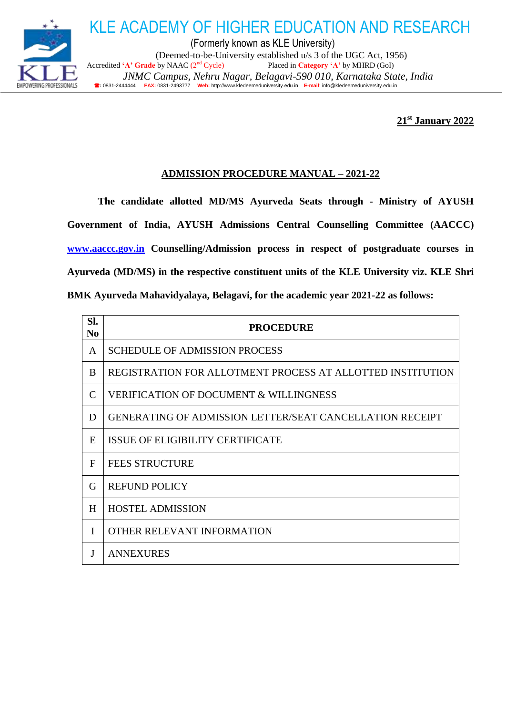

 KLE ACADEMY OF HIGHER EDUCATION AND RESEARCH (Formerly known as KLE University) (Deemed-to-be-University established u/s 3 of the UGC Act, 1956) Accredited 'A' Grade by NAAC (2<sup>nd</sup> Cycle) Placed in Category 'A' by MHRD (GoI)  *JNMC Campus, Nehru Nagar, Belagavi-590 010, Karnataka State, India* **:** 0831-2444444 **FAX:** 0831-2493777 **Web:** http://www.kledeemeduniversity.edu.in **E-mail**: [info@kledeemeduniversity.edu.in](mailto:info@kledeemeduniversity.edu.in)

**21st January 2022**

### **ADMISSION PROCEDURE MANUAL – 2021-22**

**The candidate allotted MD/MS Ayurveda Seats through - Ministry of AYUSH Government of India, AYUSH Admissions Central Counselling Committee (AACCC) [www.aaccc.gov.in](http://www.aaccc.gov.in/) Counselling/Admission process in respect of postgraduate courses in Ayurveda (MD/MS) in the respective constituent units of the KLE University viz. KLE Shri BMK Ayurveda Mahavidyalaya, Belagavi, for the academic year 2021-22 as follows:**

| SI.<br>N <sub>0</sub> | <b>PROCEDURE</b>                                           |
|-----------------------|------------------------------------------------------------|
| A                     | <b>SCHEDULE OF ADMISSION PROCESS</b>                       |
| B                     | REGISTRATION FOR ALLOTMENT PROCESS AT ALLOTTED INSTITUTION |
| $\mathcal{C}$         | <b>VERIFICATION OF DOCUMENT &amp; WILLINGNESS</b>          |
| D                     | GENERATING OF ADMISSION LETTER/SEAT CANCELLATION RECEIPT   |
| E                     | ISSUE OF ELIGIBILITY CERTIFICATE                           |
| $\mathbf{F}$          | <b>FEES STRUCTURE</b>                                      |
| G                     | <b>REFUND POLICY</b>                                       |
| H                     | <b>HOSTEL ADMISSION</b>                                    |
| I                     | OTHER RELEVANT INFORMATION                                 |
| J                     | <b>ANNEXURES</b>                                           |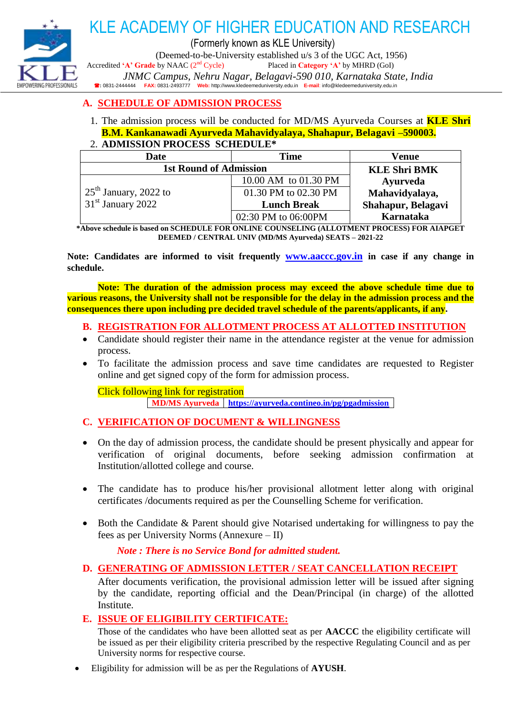

# KLE ACADEMY OF HIGHER EDUCATION AND RESEARCH

(Formerly known as KLE University)

(Deemed-to-be-University established u/s 3 of the UGC Act, 1956)

Accredited 'A' Grade by NAAC (2<sup>nd</sup> Cycle) Placed in Category 'A' by MHRD (GoI)

 *JNMC Campus, Nehru Nagar, Belagavi-590 010, Karnataka State, India* **:** 0831-2444444 **FAX:** 0831-2493777 **Web:** http://www.kledeemeduniversity.edu.in **E-mail**: [info@kledeemeduniversity.edu.in](mailto:info@kledeemeduniversity.edu.in)

# **A. SCHEDULE OF ADMISSION PROCESS**

- 1. The admission process will be conducted for MD/MS Ayurveda Courses at **KLE Shri B.M. Kankanawadi Ayurveda Mahavidyalaya, Shahapur, Belagavi –590003.**
- 2. **ADMISSION PROCESS SCHEDULE\***

| Date                          | <b>Time</b>          | Venue              |
|-------------------------------|----------------------|--------------------|
| <b>1st Round of Admission</b> | <b>KLE Shri BMK</b>  |                    |
|                               | 10.00 AM to 01.30 PM | Ayurveda           |
| $125th$ January, 2022 to      | 01.30 PM to 02.30 PM | Mahavidyalaya,     |
| $31st$ January 2022           | <b>Lunch Break</b>   | Shahapur, Belagavi |
|                               | 02:30 PM to 06:00PM  | Karnataka          |

**\*Above schedule is based on SCHEDULE FOR ONLINE COUNSELING (ALLOTMENT PROCESS) FOR AIAPGET DEEMED / CENTRAL UNIV (MD/MS Ayurveda) SEATS – 2021-22**

**Note: Candidates are informed to visit frequently [www.aaccc.gov.in](http://www.aaccc.gov.in/) in case if any change in schedule.**

**Note: The duration of the admission process may exceed the above schedule time due to various reasons, the University shall not be responsible for the delay in the admission process and the consequences there upon including pre decided travel schedule of the parents/applicants, if any.**

- **B. REGISTRATION FOR ALLOTMENT PROCESS AT ALLOTTED INSTITUTION**
- Candidate should register their name in the attendance register at the venue for admission process.
- To facilitate the admission process and save time candidates are requested to Register online and get signed copy of the form for admission process.

Click following link for registration **MD/MS Ayurveda <https://ayurveda.contineo.in/pg/pgadmission>**

- **C. VERIFICATION OF DOCUMENT & WILLINGNESS**
- On the day of admission process, the candidate should be present physically and appear for verification of original documents, before seeking admission confirmation at Institution/allotted college and course.
- The candidate has to produce his/her provisional allotment letter along with original certificates /documents required as per the Counselling Scheme for verification.
- Both the Candidate & Parent should give Notarised undertaking for willingness to pay the fees as per University Norms (Annexure – II)

*Note : There is no Service Bond for admitted student.*

## **D. GENERATING OF ADMISSION LETTER / SEAT CANCELLATION RECEIPT**

After documents verification, the provisional admission letter will be issued after signing by the candidate, reporting official and the Dean/Principal (in charge) of the allotted Institute.

#### **E. ISSUE OF ELIGIBILITY CERTIFICATE:**

Those of the candidates who have been allotted seat as per **AACCC** the eligibility certificate will be issued as per their eligibility criteria prescribed by the respective Regulating Council and as per University norms for respective course.

Eligibility for admission will be as per the Regulations of **AYUSH**.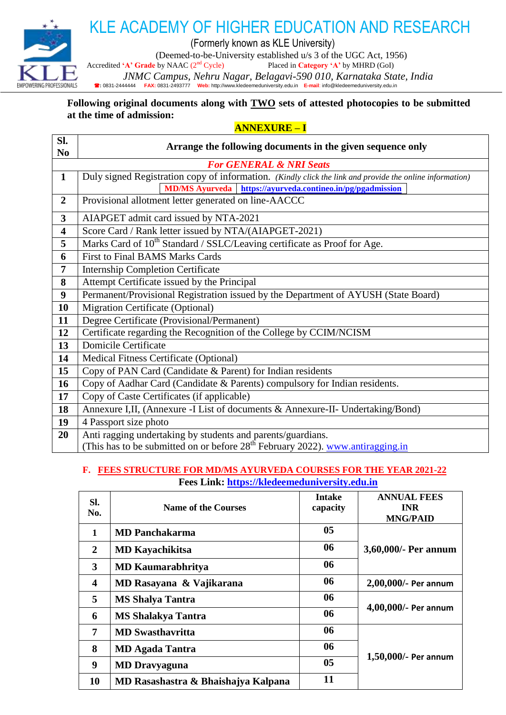

# KLE ACADEMY OF HIGHER EDUCATION AND RESEARCH

(Formerly known as KLE University)

(Deemed-to-be-University established u/s 3 of the UGC Act, 1956)<br>by NAAC  $(2<sup>nd</sup> Cycle)$  Placed in **Category** 'A' by MHRD (GoI)

Accredited 'A' Grade by NAAC (2<sup>nd</sup> Cycle)

 *JNMC Campus, Nehru Nagar, Belagavi-590 010, Karnataka State, India* **:** 0831-2444444 **FAX:** 0831-2493777 **Web:** http://www.kledeemeduniversity.edu.in **E-mail**: [info@kledeemeduniversity.edu.in](mailto:info@kledeemeduniversity.edu.in)

#### **Following original documents along with TWO sets of attested photocopies to be submitted at the time of admission:**

# **ANNEXURE – I**

| SI.<br>N <sub>0</sub>   | Arrange the following documents in the given sequence only                                               |  |  |
|-------------------------|----------------------------------------------------------------------------------------------------------|--|--|
|                         | <b>For GENERAL &amp; NRI Seats</b>                                                                       |  |  |
| $\mathbf{1}$            | Duly signed Registration copy of information. (Kindly click the link and provide the online information) |  |  |
|                         | MD/MS Ayurveda https://ayurveda.contineo.in/pg/pgadmission                                               |  |  |
| $\overline{2}$          | Provisional allotment letter generated on line-AACCC                                                     |  |  |
| 3                       | AIAPGET admit card issued by NTA-2021                                                                    |  |  |
| $\overline{\mathbf{4}}$ | Score Card / Rank letter issued by NTA/(AIAPGET-2021)                                                    |  |  |
| 5                       | Marks Card of 10 <sup>th</sup> Standard / SSLC/Leaving certificate as Proof for Age.                     |  |  |
| 6                       | First to Final BAMS Marks Cards                                                                          |  |  |
| $\overline{7}$          | <b>Internship Completion Certificate</b>                                                                 |  |  |
| 8                       | Attempt Certificate issued by the Principal                                                              |  |  |
| 9                       | Permanent/Provisional Registration issued by the Department of AYUSH (State Board)                       |  |  |
| 10                      | Migration Certificate (Optional)                                                                         |  |  |
| 11                      | Degree Certificate (Provisional/Permanent)                                                               |  |  |
| 12                      | Certificate regarding the Recognition of the College by CCIM/NCISM                                       |  |  |
| 13                      | <b>Domicile Certificate</b>                                                                              |  |  |
| 14                      | Medical Fitness Certificate (Optional)                                                                   |  |  |
| 15                      | Copy of PAN Card (Candidate & Parent) for Indian residents                                               |  |  |
| 16                      | Copy of Aadhar Card (Candidate & Parents) compulsory for Indian residents.                               |  |  |
| 17                      | Copy of Caste Certificates (if applicable)                                                               |  |  |
| 18                      | Annexure I,II, (Annexure -I List of documents & Annexure-II- Undertaking/Bond)                           |  |  |
| 19                      | 4 Passport size photo                                                                                    |  |  |
| <b>20</b>               | Anti ragging undertaking by students and parents/guardians.                                              |  |  |
|                         | (This has to be submitted on or before $28th$ February 2022). www.antiragging.in                         |  |  |

### **F. FEES STRUCTURE FOR MD/MS AYURVEDA COURSES FOR THE YEAR 2021-22 Fees Link: [https://kledeemeduniversity.edu.in](https://kledeemeduniversity.edu.in/admn/ug/ug-fees-2019.pdf)**

| SI.<br>No. | <b>Name of the Courses</b>          | <b>Intake</b><br>capacity | <b>ANNUAL FEES</b><br><b>INR</b><br><b>MNG/PAID</b> |
|------------|-------------------------------------|---------------------------|-----------------------------------------------------|
| 1          | <b>MD Panchakarma</b>               | 0 <sub>5</sub>            | 3,60,000/- Per annum                                |
| 2          | <b>MD Kayachikitsa</b>              | 06                        |                                                     |
| 3          | <b>MD Kaumarabhritya</b>            | 06                        |                                                     |
| 4          | MD Rasayana & Vajikarana            | 06                        | 2,00,000/- Per annum                                |
| 5          | <b>MS Shalya Tantra</b>             | 06                        | 4,00,000/- Per annum                                |
| 6          | <b>MS Shalakya Tantra</b>           | 06                        |                                                     |
| 7          | <b>MD Swasthavritta</b>             | 06                        |                                                     |
| 8          | <b>MD Agada Tantra</b>              | 06                        | $1,50,000/$ - Per annum                             |
| 9          | <b>MD</b> Dravyaguna                | 05                        |                                                     |
| 10         | MD Rasashastra & Bhaishajya Kalpana | 11                        |                                                     |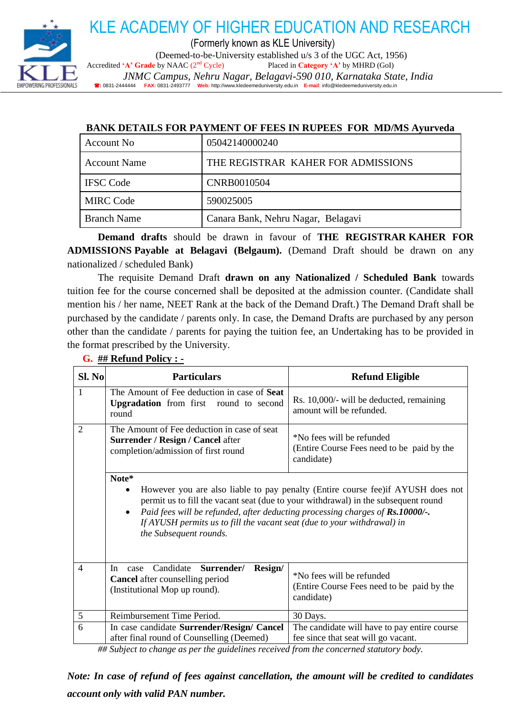

KLE ACADEMY OF HIGHER EDUCATION AND RESEARCH

(Formerly known as KLE University)

(Deemed-to-be-University established u/s 3 of the UGC Act, 1956)

Accredited 'A' Grade by NAAC (2<sup>nd</sup> Cycle) Placed in Category 'A' by MHRD (GoI)

 *JNMC Campus, Nehru Nagar, Belagavi-590 010, Karnataka State, India* **:** 0831-2444444 **FAX:** 0831-2493777 **Web:** http://www.kledeemeduniversity.edu.in **E-mail**: [info@kledeemeduniversity.edu.in](mailto:info@kledeemeduniversity.edu.in)

## **BANK DETAILS FOR PAYMENT OF FEES IN RUPEES FOR MD/MS Ayurveda**

| Account No.         | 05042140000240                     |
|---------------------|------------------------------------|
| <b>Account Name</b> | THE REGISTRAR KAHER FOR ADMISSIONS |
| <b>IFSC</b> Code    | <b>CNRB0010504</b>                 |
| <b>MIRC Code</b>    | 590025005                          |
| <b>Branch Name</b>  | Canara Bank, Nehru Nagar, Belagavi |

**Demand drafts** should be drawn in favour of **THE REGISTRAR KAHER FOR ADMISSIONS Payable at Belagavi (Belgaum).** (Demand Draft should be drawn on any nationalized / scheduled Bank)

The requisite Demand Draft **drawn on any Nationalized / Scheduled Bank** towards tuition fee for the course concerned shall be deposited at the admission counter. (Candidate shall mention his / her name, NEET Rank at the back of the Demand Draft.) The Demand Draft shall be purchased by the candidate / parents only. In case, the Demand Drafts are purchased by any person other than the candidate / parents for paying the tuition fee, an Undertaking has to be provided in the format prescribed by the University.

| Sl. No         | <b>Particulars</b>                                                                                                                                                                                                                                                                                                                                                                              | <b>Refund Eligible</b>                                                                |  |
|----------------|-------------------------------------------------------------------------------------------------------------------------------------------------------------------------------------------------------------------------------------------------------------------------------------------------------------------------------------------------------------------------------------------------|---------------------------------------------------------------------------------------|--|
| 1              | The Amount of Fee deduction in case of Seat<br><b>Upgradation</b> from first round to second<br>round                                                                                                                                                                                                                                                                                           | Rs. 10,000/- will be deducted, remaining<br>amount will be refunded.                  |  |
| $\overline{2}$ | The Amount of Fee deduction in case of seat<br><b>Surrender / Resign / Cancel after</b><br>completion/admission of first round                                                                                                                                                                                                                                                                  | *No fees will be refunded<br>(Entire Course Fees need to be paid by the<br>candidate) |  |
|                | Note*<br>However you are also liable to pay penalty (Entire course fee) if AYUSH does not<br>$\bullet$<br>permit us to fill the vacant seat (due to your withdrawal) in the subsequent round<br>Paid fees will be refunded, after deducting processing charges of Rs.10000/-.<br>$\bullet$<br>If AYUSH permits us to fill the vacant seat (due to your withdrawal) in<br>the Subsequent rounds. |                                                                                       |  |
| $\overline{4}$ | Candidate Surrender/<br>Resign/<br>In.<br>case<br><b>Cancel</b> after counselling period<br>(Institutional Mop up round).                                                                                                                                                                                                                                                                       | *No fees will be refunded<br>(Entire Course Fees need to be paid by the<br>candidate) |  |
| 5              | Reimbursement Time Period.                                                                                                                                                                                                                                                                                                                                                                      | 30 Days.                                                                              |  |
| 6              | In case candidate Surrender/Resign/ Cancel<br>after final round of Counselling (Deemed)                                                                                                                                                                                                                                                                                                         | The candidate will have to pay entire course<br>fee since that seat will go vacant.   |  |

**G. ## Refund Policy : -**

*## Subject to change as per the guidelines received from the concerned statutory body.*

*Note: In case of refund of fees against cancellation, the amount will be credited to candidates account only with valid PAN number.*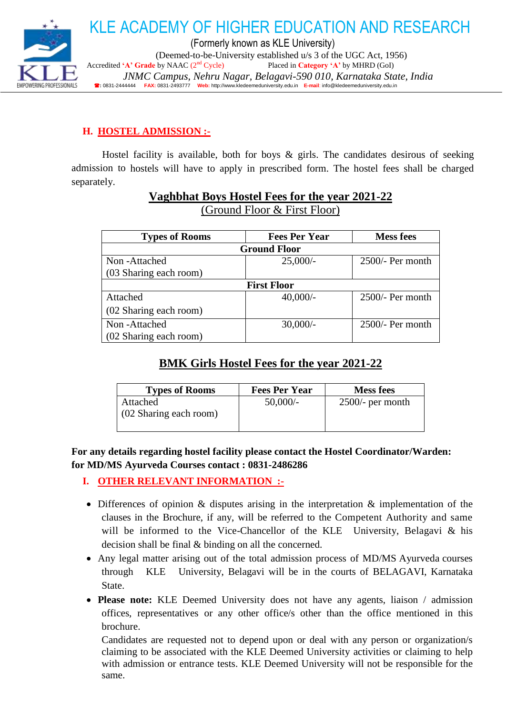

## **H. HOSTEL ADMISSION :-**

Hostel facility is available, both for boys  $\&$  girls. The candidates desirous of seeking admission to hostels will have to apply in prescribed form. The hostel fees shall be charged separately.

| <b>Types of Rooms</b>  | <b>Fees Per Year</b> | <b>Mess fees</b>   |  |
|------------------------|----------------------|--------------------|--|
| <b>Ground Floor</b>    |                      |                    |  |
| Non-Attached           | $25,000/-$           | 2500/- Per month   |  |
| (03 Sharing each room) |                      |                    |  |
| <b>First Floor</b>     |                      |                    |  |
| Attached               | $40,000/-$           | 2500/- Per month   |  |
| (02 Sharing each room) |                      |                    |  |
| Non-Attached           | $30,000/-$           | $2500/-$ Per month |  |
| (02 Sharing each room) |                      |                    |  |

# **Vaghbhat Boys Hostel Fees for the year 2021-22** (Ground Floor & First Floor)

# **BMK Girls Hostel Fees for the year 2021-22**

| <b>Types of Rooms</b>              | <b>Fees Per Year</b> | <b>Mess fees</b>   |
|------------------------------------|----------------------|--------------------|
| Attached<br>(02 Sharing each room) | $50,000/-$           | $2500/-$ per month |

# **For any details regarding hostel facility please contact the Hostel Coordinator/Warden: for MD/MS Ayurveda Courses contact : 0831-2486286**

- **I. OTHER RELEVANT INFORMATION :-**
- Differences of opinion & disputes arising in the interpretation & implementation of the clauses in the Brochure, if any, will be referred to the Competent Authority and same will be informed to the Vice-Chancellor of the KLE University, Belagavi & his decision shall be final & binding on all the concerned.
- Any legal matter arising out of the total admission process of MD/MS Ayurveda courses through KLE University, Belagavi will be in the courts of BELAGAVI, Karnataka State.
- **Please note:** KLE Deemed University does not have any agents, liaison / admission offices, representatives or any other office/s other than the office mentioned in this brochure.

Candidates are requested not to depend upon or deal with any person or organization/s claiming to be associated with the KLE Deemed University activities or claiming to help with admission or entrance tests. KLE Deemed University will not be responsible for the same.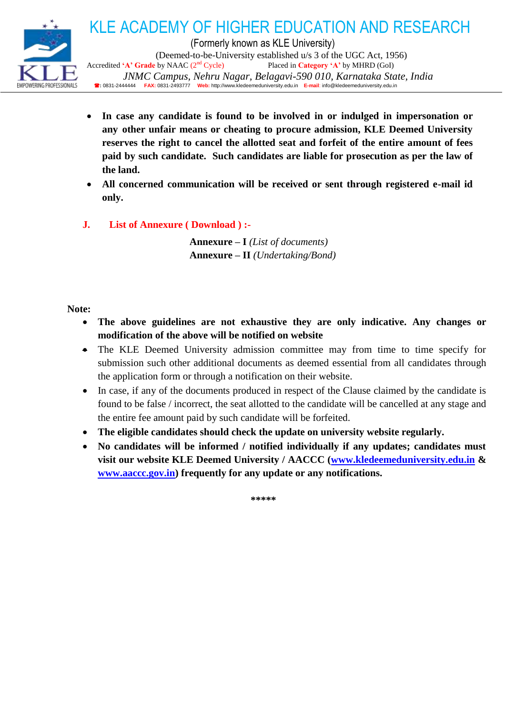

- **In case any candidate is found to be involved in or indulged in impersonation or any other unfair means or cheating to procure admission, KLE Deemed University reserves the right to cancel the allotted seat and forfeit of the entire amount of fees paid by such candidate. Such candidates are liable for prosecution as per the law of the land.**
- **All concerned communication will be received or sent through registered e-mail id only.**
- **J. List of Annexure ( Download ) :-**

**Annexure – I** *(List of documents)* **Annexure – II** *(Undertaking/Bond)*

**Note:** 

- **The above guidelines are not exhaustive they are only indicative. Any changes or modification of the above will be notified on website**
- The KLE Deemed University admission committee may from time to time specify for submission such other additional documents as deemed essential from all candidates through the application form or through a notification on their website.
- In case, if any of the documents produced in respect of the Clause claimed by the candidate is found to be false / incorrect, the seat allotted to the candidate will be cancelled at any stage and the entire fee amount paid by such candidate will be forfeited.
- **The eligible candidates should check the update on university website regularly.**
- **No candidates will be informed / notified individually if any updates; candidates must visit our website KLE Deemed University / AACCC [\(www.kledeemeduniversity.edu.in](http://www.kledeemeduniversity.edu.in/) & [www.aaccc.gov.in\)](http://www.aaccc.gov.in/) frequently for any update or any notifications.**

**\*\*\*\*\***